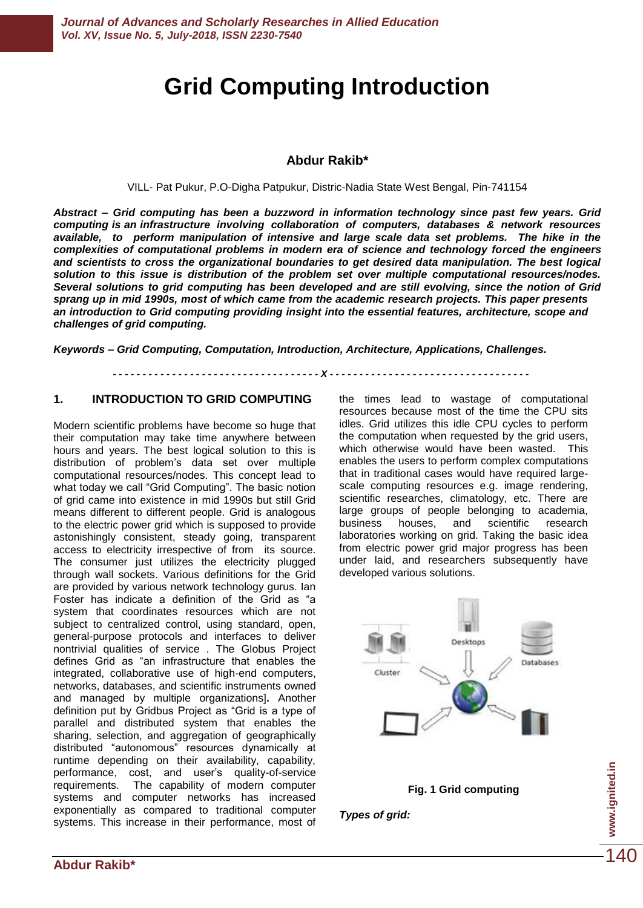# **Grid Computing Introduction**

## **Abdur Rakib\***

VILL- Pat Pukur, P.O-Digha Patpukur, Distric-Nadia State West Bengal, Pin-741154

*Abstract – Grid computing has been a buzzword in information technology since past few years. Grid computing is an infrastructure involving collaboration of computers, databases & network resources*  available, to perform manipulation of intensive and large scale data set problems. The hike in the *complexities of computational problems in modern era of science and technology forced the engineers*  and scientists to cross the organizational boundaries to get desired data manipulation. The best logical *solution to this issue is distribution of the problem set over multiple computational resources/nodes. Several solutions to grid computing has been developed and are still evolving, since the notion of Grid sprang up in mid 1990s, most of which came from the academic research projects. This paper presents an introduction to Grid computing providing insight into the essential features, architecture, scope and challenges of grid computing.* 

*Keywords – Grid Computing, Computation, Introduction, Architecture, Applications, Challenges.*

*- - - - - - - - - - - - - - - - - - - - - - - - - - - - - - - - - - - X - - - - - - - - - - - - - - - - - - - - - - - - - - - - - - - - - -*

## **1. INTRODUCTION TO GRID COMPUTING**

Modern scientific problems have become so huge that their computation may take time anywhere between hours and years. The best logical solution to this is distribution of problem's data set over multiple computational resources/nodes. This concept lead to what today we call "Grid Computing". The basic notion of grid came into existence in mid 1990s but still Grid means different to different people. Grid is analogous to the electric power grid which is supposed to provide astonishingly consistent, steady going, transparent access to electricity irrespective of from its source. The consumer just utilizes the electricity plugged through wall sockets. Various definitions for the Grid are provided by various network technology gurus. Ian Foster has indicate a definition of the Grid as "a system that coordinates resources which are not subject to centralized control, using standard, open, general-purpose protocols and interfaces to deliver nontrivial qualities of service . The Globus Project defines Grid as "an infrastructure that enables the integrated, collaborative use of high-end computers, networks, databases, and scientific instruments owned and managed by multiple organizations]**.** Another definition put by Gridbus Project as "Grid is a type of parallel and distributed system that enables the sharing, selection, and aggregation of geographically distributed "autonomous" resources dynamically at runtime depending on their availability, capability, performance, cost, and user's quality-of-service requirements. The capability of modern computer systems and computer networks has increased exponentially as compared to traditional computer systems. This increase in their performance, most of the times lead to wastage of computational resources because most of the time the CPU sits idles. Grid utilizes this idle CPU cycles to perform the computation when requested by the grid users, which otherwise would have been wasted. This enables the users to perform complex computations that in traditional cases would have required largescale computing resources e.g. image rendering, scientific researches, climatology, etc. There are large groups of people belonging to academia, business houses, and scientific research laboratories working on grid. Taking the basic idea from electric power grid major progress has been under laid, and researchers subsequently have developed various solutions.



*Types of grid:* 

**www.ignited.in**

www.ignited.in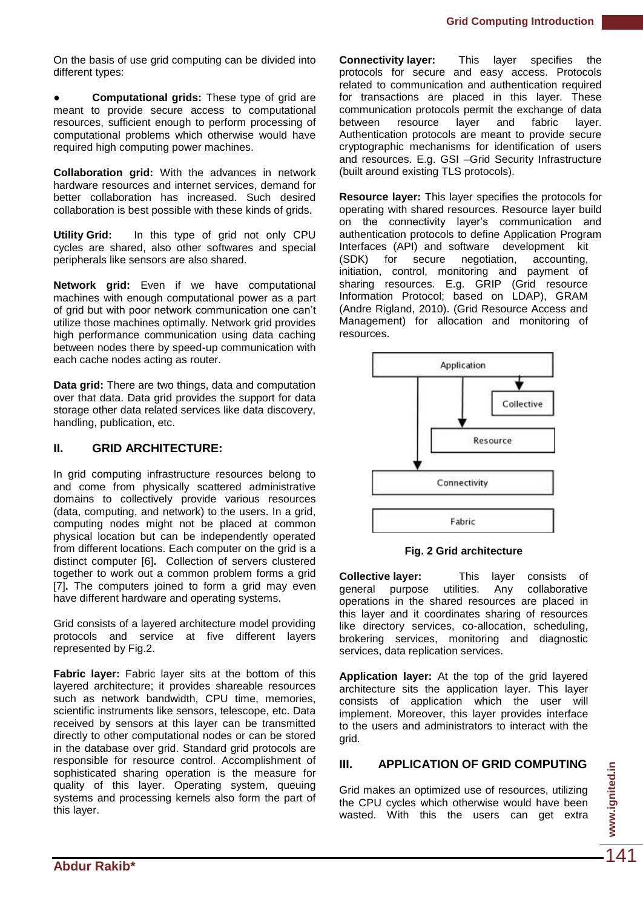On the basis of use grid computing can be divided into different types:

**Computational grids:** These type of grid are meant to provide secure access to computational resources, sufficient enough to perform processing of computational problems which otherwise would have required high computing power machines.

**Collaboration grid:** With the advances in network hardware resources and internet services, demand for better collaboration has increased. Such desired collaboration is best possible with these kinds of grids.

**Utility Grid:** In this type of grid not only CPU cycles are shared, also other softwares and special peripherals like sensors are also shared.

**Network grid:** Even if we have computational machines with enough computational power as a part of grid but with poor network communication one can't utilize those machines optimally. Network grid provides high performance communication using data caching between nodes there by speed-up communication with each cache nodes acting as router.

**Data grid:** There are two things, data and computation over that data. Data grid provides the support for data storage other data related services like data discovery, handling, publication, etc.

# **II. GRID ARCHITECTURE:**

In grid computing infrastructure resources belong to and come from physically scattered administrative domains to collectively provide various resources (data, computing, and network) to the users. In a grid, computing nodes might not be placed at common physical location but can be independently operated from different locations. Each computer on the grid is a distinct computer [6]**.** Collection of servers clustered together to work out a common problem forms a grid [7]**.** The computers joined to form a grid may even have different hardware and operating systems.

Grid consists of a layered architecture model providing protocols and service at five different layers represented by Fig.2.

**Fabric layer:** Fabric layer sits at the bottom of this layered architecture; it provides shareable resources such as network bandwidth, CPU time, memories, scientific instruments like sensors, telescope, etc. Data received by sensors at this layer can be transmitted directly to other computational nodes or can be stored in the database over grid. Standard grid protocols are responsible for resource control. Accomplishment of sophisticated sharing operation is the measure for quality of this layer. Operating system, queuing systems and processing kernels also form the part of this layer.

**Connectivity layer:** This layer specifies the protocols for secure and easy access. Protocols related to communication and authentication required for transactions are placed in this layer. These communication protocols permit the exchange of data<br>between resource layer and fabric layer. between resource layer and fabric layer. Authentication protocols are meant to provide secure cryptographic mechanisms for identification of users and resources. E.g. GSI –Grid Security Infrastructure (built around existing TLS protocols).

**Resource layer:** This layer specifies the protocols for operating with shared resources. Resource layer build on the connectivity layer's communication and authentication protocols to define Application Program Interfaces (API) and software development kit<br>(SDK) for secure negotiation, accounting, (SDK) for secure negotiation, accounting, initiation, control, monitoring and payment of sharing resources. E.g. GRIP (Grid resource Information Protocol; based on LDAP), GRAM (Andre Rigland, 2010). (Grid Resource Access and Management) for allocation and monitoring of resources.



**Fig. 2 Grid architecture**

**Collective layer:** This layer consists of general purpose utilities. Any collaborative operations in the shared resources are placed in this layer and it coordinates sharing of resources like directory services, co-allocation, scheduling, brokering services, monitoring and diagnostic services, data replication services.

**Application layer:** At the top of the grid layered architecture sits the application layer. This layer consists of application which the user will implement. Moreover, this layer provides interface to the users and administrators to interact with the grid.

# **III. APPLICATION OF GRID COMPUTING**

Grid makes an optimized use of resources, utilizing the CPU cycles which otherwise would have been wasted. With this the users can get extra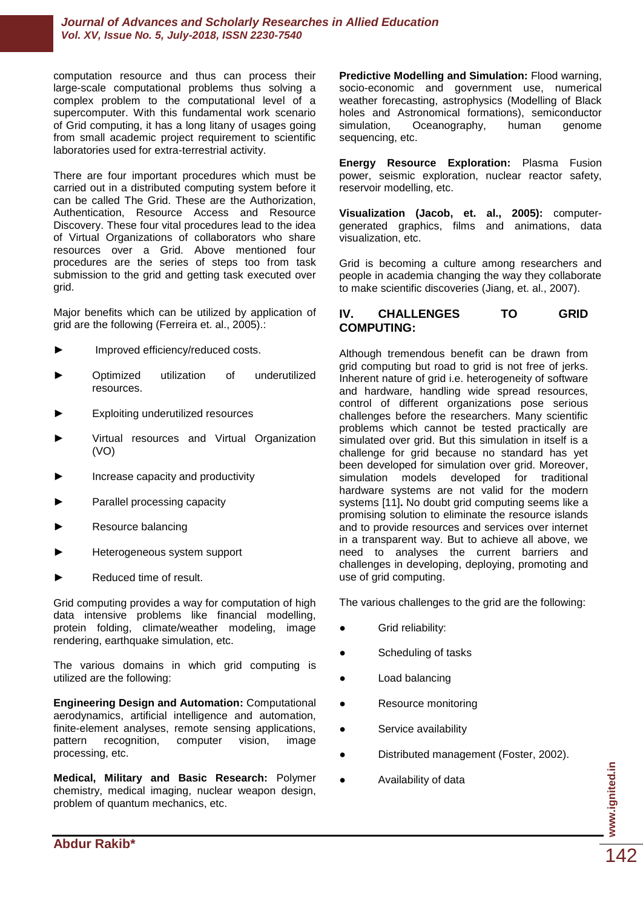#### *Journal of Advances and Scholarly Researches in Allied Education Vol. XV, Issue No. 5, July-2018, ISSN 2230-7540*

computation resource and thus can process their large-scale computational problems thus solving a complex problem to the computational level of a supercomputer. With this fundamental work scenario of Grid computing, it has a long litany of usages going from small academic project requirement to scientific laboratories used for extra-terrestrial activity.

There are four important procedures which must be carried out in a distributed computing system before it can be called The Grid. These are the Authorization, Authentication, Resource Access and Resource Discovery. These four vital procedures lead to the idea of Virtual Organizations of collaborators who share resources over a Grid. Above mentioned four procedures are the series of steps too from task submission to the grid and getting task executed over grid.

Major benefits which can be utilized by application of grid are the following (Ferreira et. al., 2005).:

- Improved efficiency/reduced costs.
- ► Optimized utilization of underutilized resources.
- Exploiting underutilized resources
- Virtual resources and Virtual Organization (VO)
- Increase capacity and productivity
- Parallel processing capacity
- ► Resource balancing
- Heterogeneous system support
- Reduced time of result.

Grid computing provides a way for computation of high data intensive problems like financial modelling, protein folding, climate/weather modeling, image rendering, earthquake simulation, etc.

The various domains in which grid computing is utilized are the following:

**Engineering Design and Automation:** Computational aerodynamics, artificial intelligence and automation, finite-element analyses, remote sensing applications, pattern recognition, computer vision, image processing, etc.

**Medical, Military and Basic Research:** Polymer chemistry, medical imaging, nuclear weapon design, problem of quantum mechanics, etc.

**Predictive Modelling and Simulation:** Flood warning, socio-economic and government use, numerical weather forecasting, astrophysics (Modelling of Black holes and Astronomical formations), semiconductor simulation, Oceanography, human genome sequencing, etc.

**Energy Resource Exploration:** Plasma Fusion power, seismic exploration, nuclear reactor safety, reservoir modelling, etc.

**Visualization (Jacob, et. al., 2005):** computergenerated graphics, films and animations, data visualization, etc.

Grid is becoming a culture among researchers and people in academia changing the way they collaborate to make scientific discoveries (Jiang, et. al., 2007).

#### **IV. CHALLENGES TO GRID COMPUTING:**

Although tremendous benefit can be drawn from grid computing but road to grid is not free of jerks. Inherent nature of grid i.e. heterogeneity of software and hardware, handling wide spread resources, control of different organizations pose serious challenges before the researchers. Many scientific problems which cannot be tested practically are simulated over grid. But this simulation in itself is a challenge for grid because no standard has yet been developed for simulation over grid. Moreover, simulation models developed for traditional hardware systems are not valid for the modern systems [11]**.** No doubt grid computing seems like a promising solution to eliminate the resource islands and to provide resources and services over internet in a transparent way. But to achieve all above, we need to analyses the current barriers and challenges in developing, deploying, promoting and use of grid computing.

The various challenges to the grid are the following:

- Grid reliability:
- Scheduling of tasks
- **Load balancing**
- Resource monitoring
- Service availability
- Distributed management (Foster, 2002).
- Availability of data

**www.ignited.in**

www.ignited.in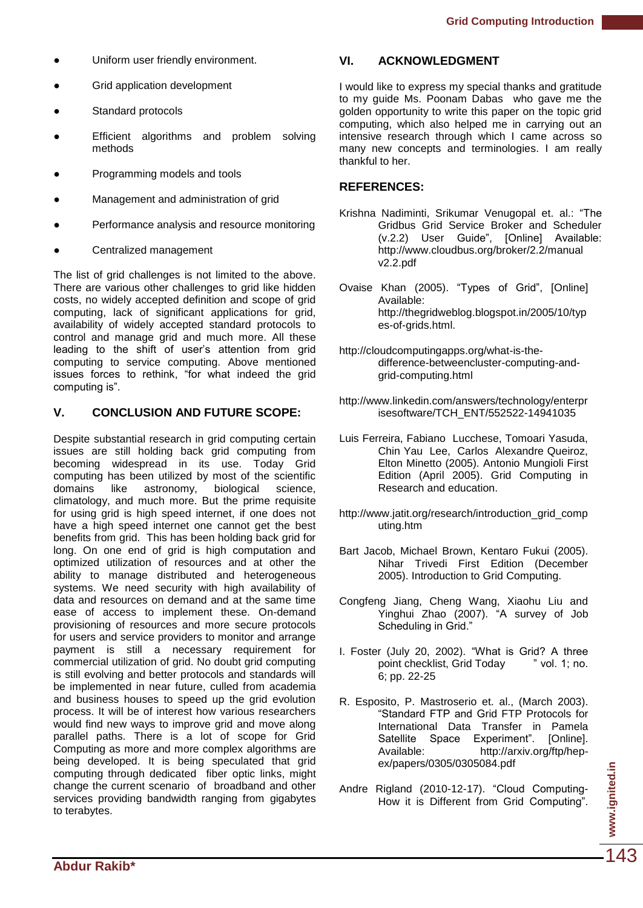- Uniform user friendly environment.
- **Grid application development**
- Standard protocols
- Efficient algorithms and problem solving methods
- Programming models and tools
- Management and administration of grid
- Performance analysis and resource monitoring
- Centralized management

The list of grid challenges is not limited to the above. There are various other challenges to grid like hidden costs, no widely accepted definition and scope of grid computing, lack of significant applications for grid, availability of widely accepted standard protocols to control and manage grid and much more. All these leading to the shift of user's attention from grid computing to service computing. Above mentioned issues forces to rethink, "for what indeed the grid computing is".

## **V. CONCLUSION AND FUTURE SCOPE:**

Despite substantial research in grid computing certain issues are still holding back grid computing from becoming widespread in its use. Today Grid computing has been utilized by most of the scientific<br>domains like astronomy, biological science, domains like astronomy, biological science, climatology, and much more. But the prime requisite for using grid is high speed internet, if one does not have a high speed internet one cannot get the best benefits from grid. This has been holding back grid for long. On one end of grid is high computation and optimized utilization of resources and at other the ability to manage distributed and heterogeneous systems. We need security with high availability of data and resources on demand and at the same time ease of access to implement these. On-demand provisioning of resources and more secure protocols for users and service providers to monitor and arrange payment is still a necessary requirement for commercial utilization of grid. No doubt grid computing is still evolving and better protocols and standards will be implemented in near future, culled from academia and business houses to speed up the grid evolution process. It will be of interest how various researchers would find new ways to improve grid and move along parallel paths. There is a lot of scope for Grid Computing as more and more complex algorithms are being developed. It is being speculated that grid computing through dedicated fiber optic links, might change the current scenario of broadband and other services providing bandwidth ranging from gigabytes to terabytes.

#### **VI. ACKNOWLEDGMENT**

I would like to express my special thanks and gratitude to my guide Ms. Poonam Dabas who gave me the golden opportunity to write this paper on the topic grid computing, which also helped me in carrying out an intensive research through which I came across so many new concepts and terminologies. I am really thankful to her.

## **REFERENCES:**

- Krishna Nadiminti, Srikumar Venugopal et. al.: "The Gridbus Grid Service Broker and Scheduler (v.2.2) User Guide", [Online] Available: http://www.cloudbus.org/broker/2.2/manual v2.2.pdf
- Ovaise Khan (2005). "Types of Grid", [Online] Available: http://thegridweblog.blogspot.in/2005/10/typ es-of-grids.html.
- [http://cloudcomputingapps.org/what-is-the](http://cloudcomputingapps.org/what-is-the-difference-betweencluster-computing-and-grid-computing.html)[difference-betweencluster-computing-and](http://cloudcomputingapps.org/what-is-the-difference-betweencluster-computing-and-grid-computing.html)[grid-computing.html](http://cloudcomputingapps.org/what-is-the-difference-betweencluster-computing-and-grid-computing.html)
- [http://www.linkedin.com/answers/technology/enterpr](http://www.linkedin.com/answers/technology/enterprisesoftware/TCH_ENT/552522-14941035) [isesoftware/TCH\\_ENT/552522-14941035](http://www.linkedin.com/answers/technology/enterprisesoftware/TCH_ENT/552522-14941035)
- Luis Ferreira, Fabiano Lucchese, Tomoari Yasuda, Chin Yau Lee, Carlos Alexandre Queiroz, Elton Minetto (2005). Antonio Mungioli First Edition (April 2005). Grid Computing in Research and education.
- [http://www.jatit.org/research/introduction\\_grid\\_comp](http://www.jatit.org/research/introduction_grid_computing.htm) [uting.htm](http://www.jatit.org/research/introduction_grid_computing.htm)
- Bart Jacob, Michael Brown, Kentaro Fukui (2005). Nihar Trivedi First Edition (December 2005). Introduction to Grid Computing.
- Congfeng Jiang, Cheng Wang, Xiaohu Liu and Yinghui Zhao (2007). "A survey of Job Scheduling in Grid."
- I. Foster (July 20, 2002). "What is Grid? A three point checklist, Grid Today "vol. 1; no. 6; pp. 22-25
- R. Esposito, P. Mastroserio et. al., (March 2003). ―Standard FTP and Grid FTP Protocols for International Data Transfer in Pamela Satellite Space Experiment". [Online]. Available: [http://arxiv.org/ftp/hep](http://arxiv.org/ftp/hep-ex/papers/0305/0305084.pdf)[ex/papers/0305/0305084.pdf](http://arxiv.org/ftp/hep-ex/papers/0305/0305084.pdf)
- Andre Rigland (2010-12-17). "Cloud Computing-How it is Different from Grid Computing".